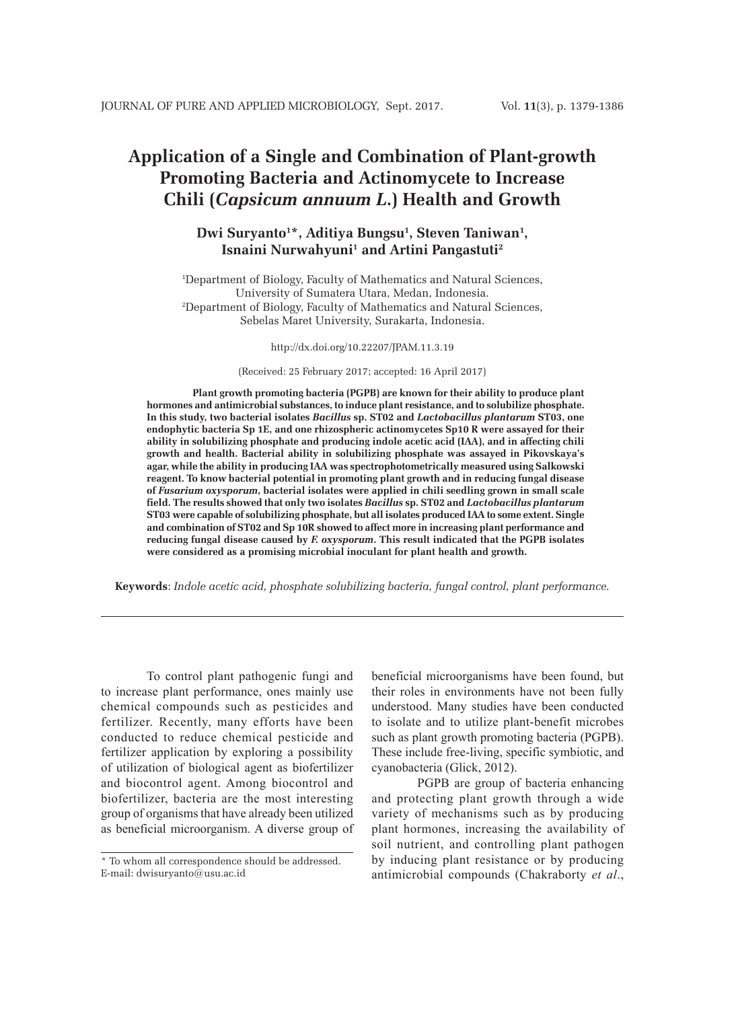# **Application of a Single and Combination of Plant-growth Promoting Bacteria and Actinomycete to Increase Chili (***Capsicum annuum L***.) Health and Growth**

# Dwi Suryanto<sup>1\*</sup>, Aditiya Bungsu<sup>1</sup>, Steven Taniwan<sup>1</sup>, Isnaini Nurwahyuni<sup>1</sup> and Artini Pangastuti<sup>2</sup>

1 Department of Biology, Faculty of Mathematics and Natural Sciences, University of Sumatera Utara, Medan, Indonesia. 2 Department of Biology, Faculty of Mathematics and Natural Sciences, Sebelas Maret University, Surakarta, Indonesia.

http://dx.doi.org/10.22207/JPAM.11.3.19

(Received: 25 February 2017; accepted: 16 April 2017)

**Plant growth promoting bacteria (PGPB) are known for their ability to produce plant hormones and antimicrobial substances, to induce plant resistance, and to solubilize phosphate. In this study, two bacterial isolates** *Bacillus* **sp. ST02 and** *Lactobacillus plantarum* **ST03, one endophytic bacteria Sp 1E, and one rhizospheric actinomycetes Sp10 R were assayed for their ability in solubilizing phosphate and producing indole acetic acid (IAA), and in affecting chili growth and health. Bacterial ability in solubilizing phosphate was assayed in Pikovskaya's agar, while the ability in producing IAA was spectrophotometrically measured using Salkowski reagent. To know bacterial potential in promoting plant growth and in reducing fungal disease of** *Fusarium oxysporum***, bacterial isolates were applied in chili seedling grown in small scale field. The results showed that only two isolates** *Bacillus* **sp. ST02 and** *Lactobacillus plantarum* **ST03 were capable of solubilizing phosphate, but all isolates produced IAA to some extent. Single and combination of ST02 and Sp 10R showed to affect more in increasing plant performance and reducing fungal disease caused by** *F. oxysporum***. This result indicated that the PGPB isolates were considered as a promising microbial inoculant for plant health and growth.**

**Keywords**: *Indole acetic acid, phosphate solubilizing bacteria, fungal control, plant performance.*

To control plant pathogenic fungi and to increase plant performance, ones mainly use chemical compounds such as pesticides and fertilizer. Recently, many efforts have been conducted to reduce chemical pesticide and fertilizer application by exploring a possibility of utilization of biological agent as biofertilizer and biocontrol agent. Among biocontrol and biofertilizer, bacteria are the most interesting group of organisms that have already been utilized as beneficial microorganism. A diverse group of beneficial microorganisms have been found, but their roles in environments have not been fully understood. Many studies have been conducted to isolate and to utilize plant-benefit microbes such as plant growth promoting bacteria (PGPB). These include free-living, specific symbiotic, and cyanobacteria (Glick, 2012).

PGPB are group of bacteria enhancing and protecting plant growth through a wide variety of mechanisms such as by producing plant hormones, increasing the availability of soil nutrient, and controlling plant pathogen by inducing plant resistance or by producing antimicrobial compounds (Chakraborty *et al*.,

<sup>\*</sup> To whom all correspondence should be addressed. E-mail: dwisuryanto@usu.ac.id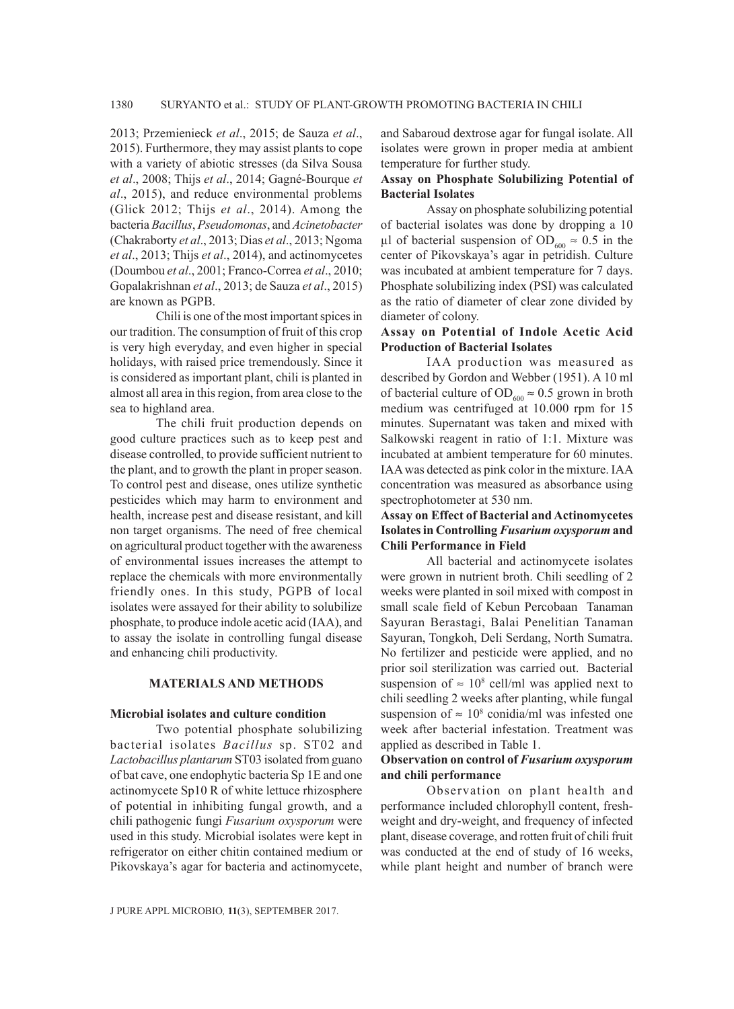2013; Przemienieck *et al*., 2015; de Sauza *et al*., 2015). Furthermore, they may assist plants to cope with a variety of abiotic stresses (da Silva Sousa *et al*., 2008; Thijs *et al*., 2014; Gagné-Bourque *et al*., 2015), and reduce environmental problems (Glick 2012; Thijs *et al*., 2014). Among the bacteria *Bacillus*, *Pseudomonas*, and *Acinetobacter* (Chakraborty *et al*., 2013; Dias *et al*., 2013; Ngoma *et al*., 2013; Thijs *et al*., 2014), and actinomycetes (Doumbou *et al*., 2001; Franco-Correa *et al*., 2010; Gopalakrishnan *et al*., 2013; de Sauza *et al*., 2015) are known as PGPB.

Chili is one of the most important spices in our tradition. The consumption of fruit of this crop is very high everyday, and even higher in special holidays, with raised price tremendously. Since it is considered as important plant, chili is planted in almost all area in this region, from area close to the sea to highland area.

The chili fruit production depends on good culture practices such as to keep pest and disease controlled, to provide sufficient nutrient to the plant, and to growth the plant in proper season. To control pest and disease, ones utilize synthetic pesticides which may harm to environment and health, increase pest and disease resistant, and kill non target organisms. The need of free chemical on agricultural product together with the awareness of environmental issues increases the attempt to replace the chemicals with more environmentally friendly ones. In this study, PGPB of local isolates were assayed for their ability to solubilize phosphate, to produce indole acetic acid (IAA), and to assay the isolate in controlling fungal disease and enhancing chili productivity.

#### **MATERIALS AND METHODS**

## **Microbial isolates and culture condition**

Two potential phosphate solubilizing bacterial isolates *Bacillus* sp. ST02 and *Lactobacillus plantarum* ST03 isolated from guano of bat cave, one endophytic bacteria Sp 1E and one actinomycete Sp10 R of white lettuce rhizosphere of potential in inhibiting fungal growth, and a chili pathogenic fungi *Fusarium oxysporum* were used in this study. Microbial isolates were kept in refrigerator on either chitin contained medium or Pikovskaya's agar for bacteria and actinomycete,

and Sabaroud dextrose agar for fungal isolate. All isolates were grown in proper media at ambient temperature for further study.

## **Assay on Phosphate Solubilizing Potential of Bacterial Isolates**

Assay on phosphate solubilizing potential of bacterial isolates was done by dropping a 10 µl of bacterial suspension of OD<sub>600</sub>  $\approx$  0.5 in the center of Pikovskaya's agar in petridish. Culture was incubated at ambient temperature for 7 days. Phosphate solubilizing index (PSI) was calculated as the ratio of diameter of clear zone divided by diameter of colony.

## **Assay on Potential of Indole Acetic Acid Production of Bacterial Isolates**

IAA production was measured as described by Gordon and Webber (1951). A 10 ml of bacterial culture of OD<sub>600</sub>  $\approx$  0.5 grown in broth medium was centrifuged at 10.000 rpm for 15 minutes. Supernatant was taken and mixed with Salkowski reagent in ratio of 1:1. Mixture was incubated at ambient temperature for 60 minutes. IAA was detected as pink color in the mixture. IAA concentration was measured as absorbance using spectrophotometer at 530 nm.

## **Assay on Effect of Bacterial and Actinomycetes Isolates in Controlling** *Fusarium oxysporum* **and Chili Performance in Field**

All bacterial and actinomycete isolates were grown in nutrient broth. Chili seedling of 2 weeks were planted in soil mixed with compost in small scale field of Kebun Percobaan Tanaman Sayuran Berastagi, Balai Penelitian Tanaman Sayuran, Tongkoh, Deli Serdang, North Sumatra. No fertilizer and pesticide were applied, and no prior soil sterilization was carried out. Bacterial suspension of  $\approx 10^8$  cell/ml was applied next to chili seedling 2 weeks after planting, while fungal suspension of  $\approx 10^8$  conidia/ml was infested one week after bacterial infestation. Treatment was applied as described in Table 1.

## **Observation on control of** *Fusarium oxysporum* **and chili performance**

Observation on plant health and performance included chlorophyll content, freshweight and dry-weight, and frequency of infected plant, disease coverage, and rotten fruit of chili fruit was conducted at the end of study of 16 weeks, while plant height and number of branch were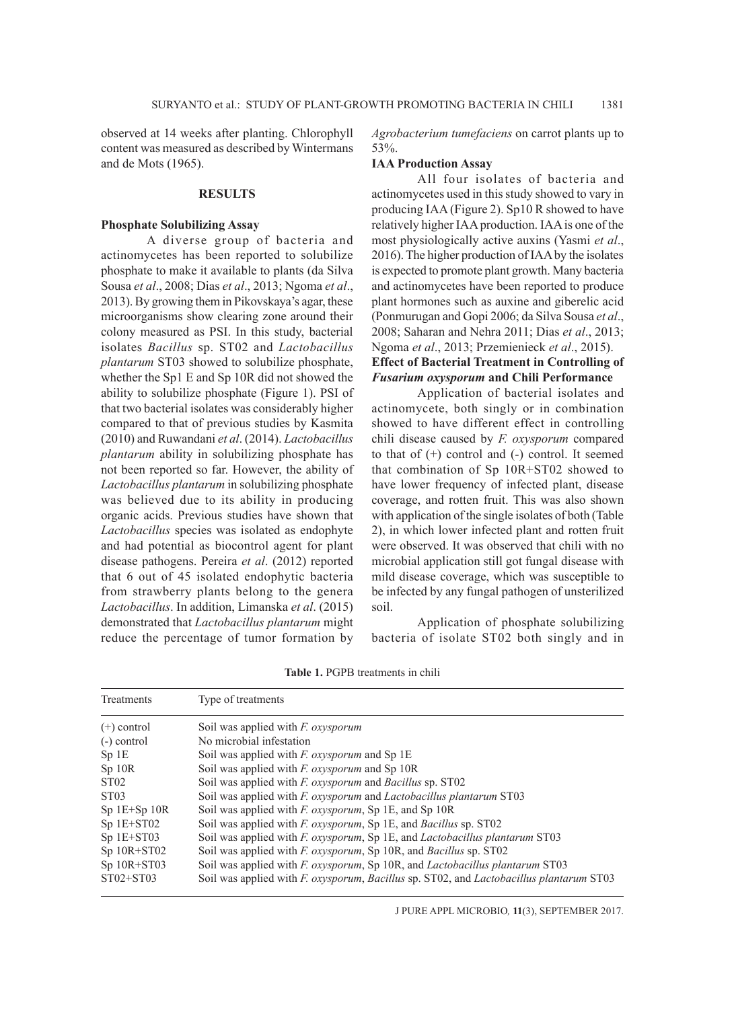observed at 14 weeks after planting. Chlorophyll content was measured as described by Wintermans and de Mots (1965).

#### **RESULTS**

#### **Phosphate Solubilizing Assay**

A diverse group of bacteria and actinomycetes has been reported to solubilize phosphate to make it available to plants (da Silva Sousa *et al*., 2008; Dias *et al*., 2013; Ngoma *et al*., 2013). By growing them in Pikovskaya's agar, these microorganisms show clearing zone around their colony measured as PSI. In this study, bacterial isolates *Bacillus* sp. ST02 and *Lactobacillus plantarum* ST03 showed to solubilize phosphate, whether the Sp1 E and Sp 10R did not showed the ability to solubilize phosphate (Figure 1). PSI of that two bacterial isolates was considerably higher compared to that of previous studies by Kasmita (2010) and Ruwandani *et al*. (2014). *Lactobacillus plantarum* ability in solubilizing phosphate has not been reported so far. However, the ability of *Lactobacillus plantarum* in solubilizing phosphate was believed due to its ability in producing organic acids. Previous studies have shown that *Lactobacillus* species was isolated as endophyte and had potential as biocontrol agent for plant disease pathogens. Pereira *et al*. (2012) reported that 6 out of 45 isolated endophytic bacteria from strawberry plants belong to the genera *Lactobacillus*. In addition, Limanska *et al*. (2015) demonstrated that *Lactobacillus plantarum* might reduce the percentage of tumor formation by

*Agrobacterium tumefaciens* on carrot plants up to 53%.

#### **IAA Production Assay**

All four isolates of bacteria and actinomycetes used in this study showed to vary in producing IAA (Figure 2). Sp10 R showed to have relatively higher IAA production. IAA is one of the most physiologically active auxins (Yasmi *et al*., 2016). The higher production of IAA by the isolates is expected to promote plant growth. Many bacteria and actinomycetes have been reported to produce plant hormones such as auxine and giberelic acid (Ponmurugan and Gopi 2006; da Silva Sousa *et al*., 2008; Saharan and Nehra 2011; Dias *et al*., 2013; Ngoma *et al*., 2013; Przemienieck *et al*., 2015). **Effect of Bacterial Treatment in Controlling of**  *Fusarium oxysporum* **and Chili Performance**

Application of bacterial isolates and actinomycete, both singly or in combination showed to have different effect in controlling chili disease caused by *F. oxysporum* compared to that of  $(+)$  control and  $(-)$  control. It seemed that combination of Sp 10R+ST02 showed to have lower frequency of infected plant, disease coverage, and rotten fruit. This was also shown with application of the single isolates of both (Table 2), in which lower infected plant and rotten fruit were observed. It was observed that chili with no microbial application still got fungal disease with mild disease coverage, which was susceptible to be infected by any fungal pathogen of unsterilized soil.

Application of phosphate solubilizing bacteria of isolate ST02 both singly and in

| Table 1. PGPB treatments in chili |
|-----------------------------------|
|-----------------------------------|

| Treatments       | Type of treatments                                                                      |
|------------------|-----------------------------------------------------------------------------------------|
| $(+)$ control    | Soil was applied with <i>F. oxysporum</i>                                               |
| $(-)$ control    | No microbial infestation                                                                |
| Sp1E             | Soil was applied with $F$ . oxysporum and Sp 1E                                         |
| $Sp$ 10 $R$      | Soil was applied with $F$ . oxysporum and Sp 10R                                        |
| ST <sub>02</sub> | Soil was applied with <i>F. oxysporum</i> and <i>Bacillus</i> sp. ST02                  |
| ST <sub>03</sub> | Soil was applied with F. oxysporum and Lactobacillus plantarum ST03                     |
| $Sp 1E+Sp 10R$   | Soil was applied with F. oxysporum, Sp 1E, and Sp 10R                                   |
| $Sp$ 1E+ST02     | Soil was applied with F. oxysporum, Sp 1E, and Bacillus sp. ST02                        |
| $Sp$ 1E+ST03     | Soil was applied with F. oxysporum, Sp 1E, and Lactobacillus plantarum ST03             |
| $Sp$ 10R+ST02    | Soil was applied with <i>F. oxysporum</i> , Sp 10R, and <i>Bacillus</i> sp. ST02        |
| $Sp$ 10R+ST03    | Soil was applied with F. oxysporum, Sp 10R, and Lactobacillus plantarum ST03            |
| $ST02+ST03$      | Soil was applied with F. oxysporum, Bacillus sp. ST02, and Lactobacillus plantarum ST03 |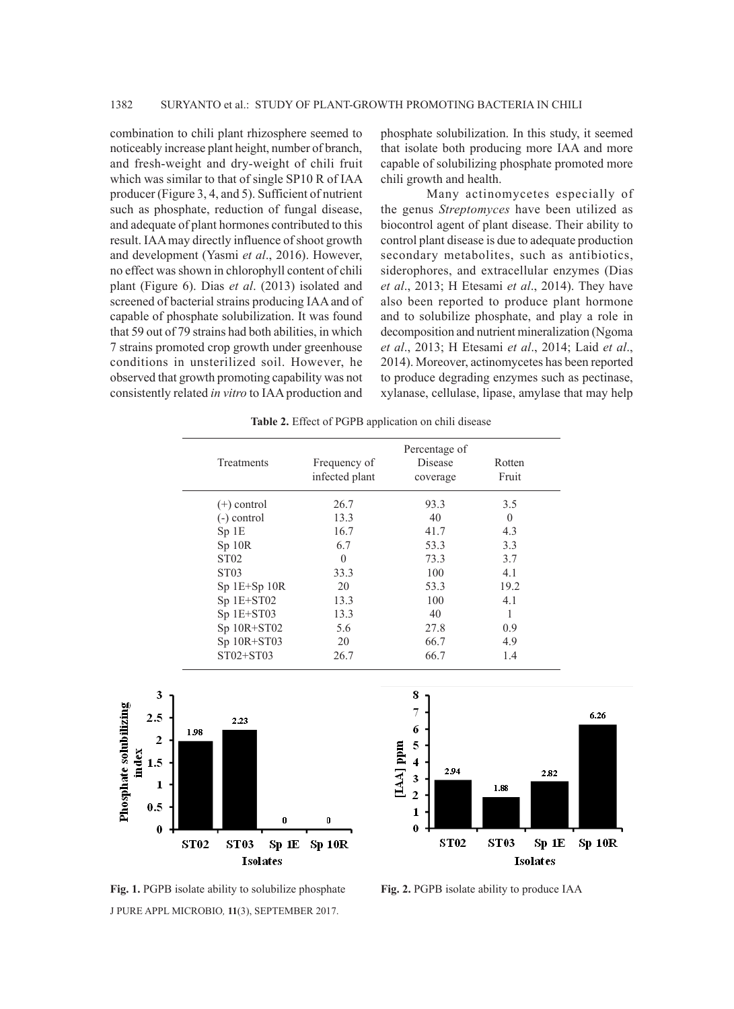combination to chili plant rhizosphere seemed to noticeably increase plant height, number of branch, and fresh-weight and dry-weight of chili fruit which was similar to that of single SP10 R of IAA producer (Figure 3, 4, and 5). Sufficient of nutrient such as phosphate, reduction of fungal disease, and adequate of plant hormones contributed to this result. IAA may directly influence of shoot growth and development (Yasmi *et al*., 2016). However, no effect was shown in chlorophyll content of chili plant (Figure 6). Dias *et al*. (2013) isolated and screened of bacterial strains producing IAA and of capable of phosphate solubilization. It was found that 59 out of 79 strains had both abilities, in which 7 strains promoted crop growth under greenhouse conditions in unsterilized soil. However, he observed that growth promoting capability was not consistently related *in vitro* to IAA production and phosphate solubilization. In this study, it seemed that isolate both producing more IAA and more capable of solubilizing phosphate promoted more chili growth and health.

Many actinomycetes especially of the genus *Streptomyces* have been utilized as biocontrol agent of plant disease. Their ability to control plant disease is due to adequate production secondary metabolites, such as antibiotics, siderophores, and extracellular enzymes (Dias *et al*., 2013; H Etesami *et al*., 2014). They have also been reported to produce plant hormone and to solubilize phosphate, and play a role in decomposition and nutrient mineralization (Ngoma *et al*., 2013; H Etesami *et al*., 2014; Laid *et al*., 2014). Moreover, actinomycetes has been reported to produce degrading enzymes such as pectinase, xylanase, cellulase, lipase, amylase that may help

|  |  |  | Table 2. Effect of PGPB application on chili disease |  |  |
|--|--|--|------------------------------------------------------|--|--|
|--|--|--|------------------------------------------------------|--|--|

| Treatments       | Frequency of<br>infected plant | Percentage of<br><b>Disease</b><br>coverage | Rotten<br>Fruit |
|------------------|--------------------------------|---------------------------------------------|-----------------|
| $(+)$ control    | 26.7                           | 93.3                                        | 3.5             |
| $(-)$ control    | 13.3                           | 40                                          | $\Omega$        |
| Sp1E             | 16.7                           | 41.7                                        | 4.3             |
| Sp 10R           | 6.7                            | 53.3                                        | 3.3             |
| ST <sub>02</sub> | $\Omega$                       | 73.3                                        | 3.7             |
| ST <sub>03</sub> | 33.3                           | 100                                         | 4.1             |
| $Sp 1E+Sp 10R$   | 20                             | 53.3                                        | 19.2            |
| Sp 1E+ST02       | 13.3                           | 100                                         | 4.1             |
| Sp 1E+ST03       | 13.3                           | 40                                          |                 |
| $Sp$ 10R+ST02    | 5.6                            | 27.8                                        | 0.9             |
| Sp 10R+ST03      | 20                             | 66.7                                        | 4.9             |
| $ST02+ST03$      | 26.7                           | 66.7                                        | 1.4             |





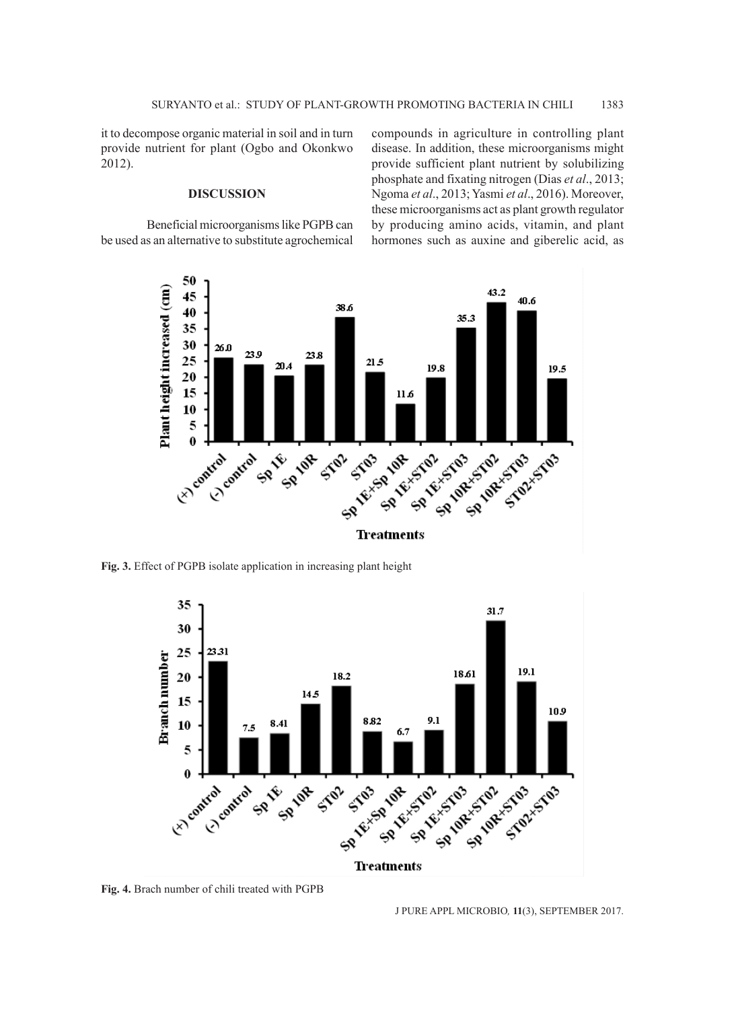it to decompose organic material in soil and in turn provide nutrient for plant (Ogbo and Okonkwo 2012).

#### **DISCUSSION**

Beneficial microorganisms like PGPB can be used as an alternative to substitute agrochemical compounds in agriculture in controlling plant disease. In addition, these microorganisms might provide sufficient plant nutrient by solubilizing phosphate and fixating nitrogen (Dias *et al*., 2013; Ngoma *et al*., 2013; Yasmi *et al*., 2016). Moreover, these microorganisms act as plant growth regulator by producing amino acids, vitamin, and plant hormones such as auxine and giberelic acid, as



**Fig. 3.** Effect of PGPB isolate application in increasing plant height



**Fig. 4.** Brach number of chili treated with PGPB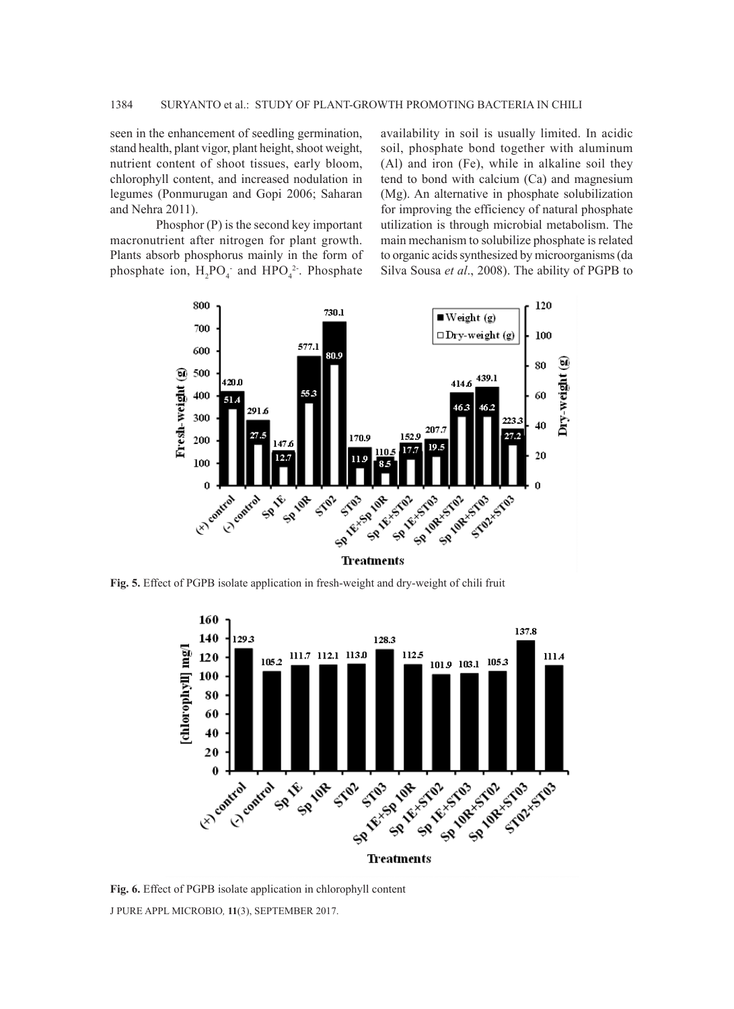seen in the enhancement of seedling germination, stand health, plant vigor, plant height, shoot weight, nutrient content of shoot tissues, early bloom, chlorophyll content, and increased nodulation in legumes (Ponmurugan and Gopi 2006; Saharan and Nehra 2011).

Phosphor (P) is the second key important macronutrient after nitrogen for plant growth. Plants absorb phosphorus mainly in the form of phosphate ion,  $H_2PO_4$  and  $HPO_4^2$ . Phosphate availability in soil is usually limited. In acidic soil, phosphate bond together with aluminum (Al) and iron (Fe), while in alkaline soil they tend to bond with calcium (Ca) and magnesium (Mg). An alternative in phosphate solubilization for improving the efficiency of natural phosphate utilization is through microbial metabolism. The main mechanism to solubilize phosphate is related to organic acids synthesized by microorganisms (da Silva Sousa *et al*., 2008). The ability of PGPB to



**Fig. 5.** Effect of PGPB isolate application in fresh-weight and dry-weight of chili fruit



J PURE APPL MICROBIO*,* **11**(3), SEPTEMBER 2017. **Fig. 6.** Effect of PGPB isolate application in chlorophyll content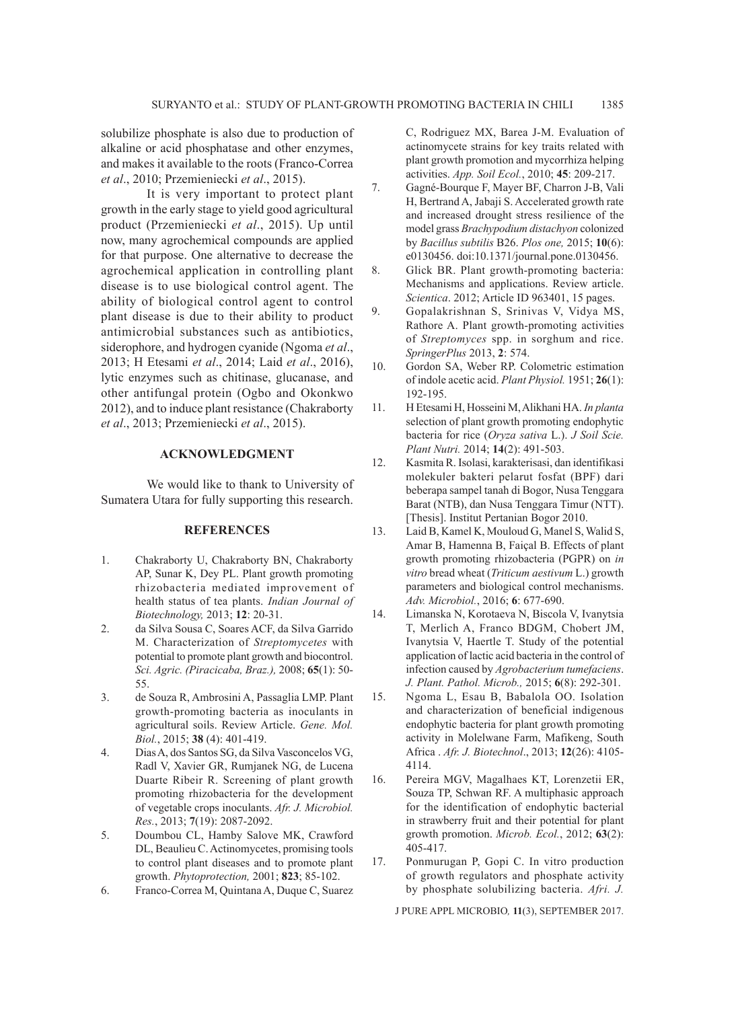solubilize phosphate is also due to production of alkaline or acid phosphatase and other enzymes, and makes it available to the roots (Franco-Correa *et al*., 2010; Przemieniecki *et al*., 2015).

It is very important to protect plant growth in the early stage to yield good agricultural product (Przemieniecki *et al*., 2015). Up until now, many agrochemical compounds are applied for that purpose. One alternative to decrease the agrochemical application in controlling plant disease is to use biological control agent. The ability of biological control agent to control plant disease is due to their ability to product antimicrobial substances such as antibiotics, siderophore, and hydrogen cyanide (Ngoma *et al*., 2013; H Etesami *et al*., 2014; Laid *et al*., 2016), lytic enzymes such as chitinase, glucanase, and other antifungal protein (Ogbo and Okonkwo 2012), and to induce plant resistance (Chakraborty *et al*., 2013; Przemieniecki *et al*., 2015).

#### **ACKNOWLEDGMENT**

We would like to thank to University of Sumatera Utara for fully supporting this research.

#### **REFERENCES**

- 1. Chakraborty U, Chakraborty BN, Chakraborty AP, Sunar K, Dey PL. Plant growth promoting rhizobacteria mediated improvement of health status of tea plants. *Indian Journal of Biotechnology,* 2013; **12**: 20-31.
- 2. da Silva Sousa C, Soares ACF, da Silva Garrido M. Characterization of *Streptomycetes* with potential to promote plant growth and biocontrol. *Sci. Agric. (Piracicaba, Braz.),* 2008; **65**(1): 50- 55.
- 3. de Souza R, Ambrosini A, Passaglia LMP. Plant growth-promoting bacteria as inoculants in agricultural soils. Review Article. *Gene. Mol. Biol.*, 2015; **38** (4): 401-419.
- 4. Dias A, dos Santos SG, da Silva Vasconcelos VG, Radl V, Xavier GR, Rumjanek NG, de Lucena Duarte Ribeir R. Screening of plant growth promoting rhizobacteria for the development of vegetable crops inoculants. *Afr. J. Microbiol. Res.*, 2013; **7**(19): 2087-2092.
- 5. Doumbou CL, Hamby Salove MK, Crawford DL, Beaulieu C. Actinomycetes, promising tools to control plant diseases and to promote plant growth. *Phytoprotection,* 2001; **823**; 85-102.
- 6. Franco-Correa M, Quintana A, Duque C, Suarez

C, Rodriguez MX, Barea J-M. Evaluation of actinomycete strains for key traits related with plant growth promotion and mycorrhiza helping activities. *App. Soil Ecol.*, 2010; **45**: 209-217.

- 7. Gagné-Bourque F, Mayer BF, Charron J-B, Vali H, Bertrand A, Jabaji S. Accelerated growth rate and increased drought stress resilience of the model grass *Brachypodium distachyon* colonized by *Bacillus subtilis* B26. *Plos one,* 2015; **10**(6): e0130456. doi:10.1371/journal.pone.0130456.
- 8. Glick BR. Plant growth-promoting bacteria: Mechanisms and applications. Review article. *Scientica*. 2012; Article ID 963401, 15 pages.
- 9. Gopalakrishnan S, Srinivas V, Vidya MS, Rathore A. Plant growth-promoting activities of *Streptomyces* spp. in sorghum and rice. *SpringerPlus* 2013, **2**: 574.
- 10. Gordon SA, Weber RP. Colometric estimation of indole acetic acid. *Plant Physiol.* 1951; **26**(1): 192-195.
- 11. H Etesami H, Hosseini M, Alikhani HA. *In planta*  selection of plant growth promoting endophytic bacteria for rice (*Oryza sativa* L.). *J Soil Scie. Plant Nutri.* 2014; **14**(2): 491-503.
- 12. Kasmita R. Isolasi, karakterisasi, dan identifikasi molekuler bakteri pelarut fosfat (BPF) dari beberapa sampel tanah di Bogor, Nusa Tenggara Barat (NTB), dan Nusa Tenggara Timur (NTT). [Thesis]. Institut Pertanian Bogor 2010.
- 13. Laid B, Kamel K, Mouloud G, Manel S, Walid S, Amar B, Hamenna B, Faiçal B. Effects of plant growth promoting rhizobacteria (PGPR) on *in vitro* bread wheat (*Triticum aestivum* L.) growth parameters and biological control mechanisms. *Adv. Microbiol.*, 2016; **6**: 677-690.
- 14. Limanska N, Korotaeva N, Biscola V, Ivanytsia T, Merlich A, Franco BDGM, Chobert JM, Ivanytsia V, Haertle T. Study of the potential application of lactic acid bacteria in the control of infection caused by *Agrobacterium tumefaciens*. *J. Plant. Pathol. Microb.,* 2015; **6**(8): 292-301.
- 15. Ngoma L, Esau B, Babalola OO. Isolation and characterization of beneficial indigenous endophytic bacteria for plant growth promoting activity in Molelwane Farm, Mafikeng, South Africa . *Afr. J. Biotechnol*., 2013; **12**(26): 4105- 4114.
- 16. Pereira MGV, Magalhaes KT, Lorenzetii ER, Souza TP, Schwan RF. A multiphasic approach for the identification of endophytic bacterial in strawberry fruit and their potential for plant growth promotion. *Microb. Ecol.*, 2012; **63**(2): 405-417.
- 17. Ponmurugan P, Gopi C. In vitro production of growth regulators and phosphate activity by phosphate solubilizing bacteria. *Afri. J.*